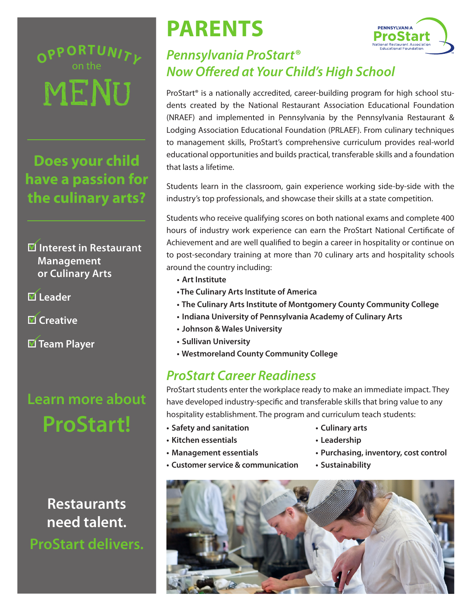MENU **O** on the **<sup>P</sup>PORTUNIT<sup>Y</sup>**

**Does your child have a passion for the culinary arts?**

- $\blacksquare$  Interest in Restaurant **Management or Culinary Arts**
- **Ø** Leader
- **Ø Creative**

**Ø Team Player** 

### **Learn more about ProStart!**

**Restaurants need talent. ProStart delivers.**

# **PARENTS**



#### *Pennsylvania ProStart® Now Offered at Your Child's High School*

ProStart<sup>®</sup> is a nationally accredited, career-building program for high school students created by the National Restaurant Association Educational Foundation (NRAEF) and implemented in Pennsylvania by the Pennsylvania Restaurant & Lodging Association Educational Foundation (PRLAEF). From culinary techniques to management skills, ProStart's comprehensive curriculum provides real-world educational opportunities and builds practical, transferable skills and a foundation that lasts a lifetime.

Students learn in the classroom, gain experience working side-by-side with the industry's top professionals, and showcase their skills at a state competition.

Students who receive qualifying scores on both national exams and complete 400 hours of industry work experience can earn the ProStart National Certificate of Achievement and are well qualified to begin a career in hospitality or continue on to post-secondary training at more than 70 culinary arts and hospitality schools around the country including:

- **• Art Institute**
- **• The Culinary Arts Institute of America**
- **• The Culinary Arts Institute of Montgomery County Community College**
- **• Indiana University of Pennsylvania Academy of Culinary Arts**
- **• Johnson & Wales University**
- **• Sullivan University**
- **• Westmoreland County Community College**

#### *ProStart Career Readiness*

ProStart students enter the workplace ready to make an immediate impact. They have developed industry-specific and transferable skills that bring value to any hospitality establishment. The program and curriculum teach students:

- **• Safety and sanitation**
- **• Kitchen essentials**
- **• Management essentials**

**• Customer service & communication**

- **• Culinary arts**
- **• Leadership**
- **• Purchasing, inventory, cost control**
- **• Sustainability**